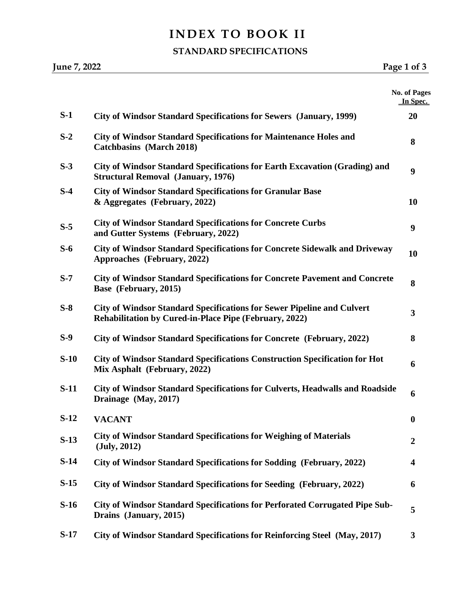# **INDEX TO BOOK II**

#### **STANDARD SPECIFICATIONS**

|        |                                                                                                                                                | No. of Pages     |
|--------|------------------------------------------------------------------------------------------------------------------------------------------------|------------------|
|        |                                                                                                                                                | In Spec.         |
| $S-1$  | <b>City of Windsor Standard Specifications for Sewers (January, 1999)</b>                                                                      | 20               |
| $S-2$  | <b>City of Windsor Standard Specifications for Maintenance Holes and</b><br><b>Catchbasins</b> (March 2018)                                    | 8                |
| $S-3$  | City of Windsor Standard Specifications for Earth Excavation (Grading) and<br><b>Structural Removal (January, 1976)</b>                        | 9                |
| $S-4$  | <b>City of Windsor Standard Specifications for Granular Base</b><br>& Aggregates (February, 2022)                                              | 10               |
| $S-5$  | <b>City of Windsor Standard Specifications for Concrete Curbs</b><br>and Gutter Systems (February, 2022)                                       | 9                |
| $S-6$  | <b>City of Windsor Standard Specifications for Concrete Sidewalk and Driveway</b><br>Approaches (February, 2022)                               | 10               |
| $S-7$  | <b>City of Windsor Standard Specifications for Concrete Pavement and Concrete</b><br>Base (February, 2015)                                     | 8                |
| $S-8$  | <b>City of Windsor Standard Specifications for Sewer Pipeline and Culvert</b><br><b>Rehabilitation by Cured-in-Place Pipe (February, 2022)</b> | 3                |
| $S-9$  | City of Windsor Standard Specifications for Concrete (February, 2022)                                                                          | 8                |
| $S-10$ | <b>City of Windsor Standard Specifications Construction Specification for Hot</b><br>Mix Asphalt (February, 2022)                              | 6                |
| $S-11$ | City of Windsor Standard Specifications for Culverts, Headwalls and Roadside<br>Drainage (May, 2017)                                           | 6                |
| $S-12$ | <b>VACANT</b>                                                                                                                                  | $\boldsymbol{0}$ |
| $S-13$ | <b>City of Windsor Standard Specifications for Weighing of Materials</b><br>$(\mathrm{July}, 2012)$                                            | $\overline{2}$   |
| $S-14$ | City of Windsor Standard Specifications for Sodding (February, 2022)                                                                           | 4                |
| $S-15$ | City of Windsor Standard Specifications for Seeding (February, 2022)                                                                           | 6                |
| $S-16$ | City of Windsor Standard Specifications for Perforated Corrugated Pipe Sub-<br>Drains (January, 2015)                                          | 5                |
| $S-17$ | City of Windsor Standard Specifications for Reinforcing Steel (May, 2017)                                                                      | 3                |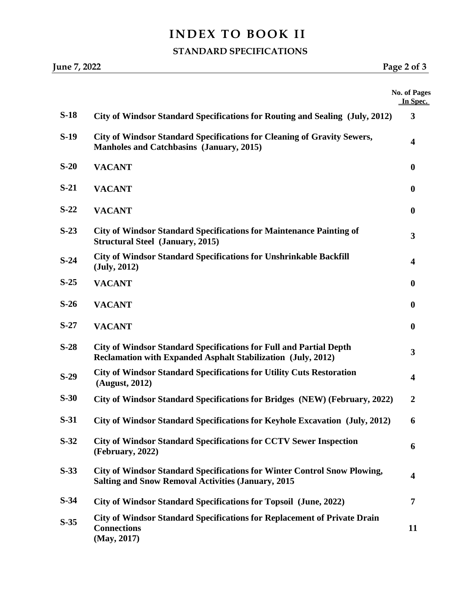# **INDEX TO BOOK II**

### **STANDARD SPECIFICATIONS**

|        | June 7, 2022<br>Page 2 of 3                                                                                                                  |                                 |
|--------|----------------------------------------------------------------------------------------------------------------------------------------------|---------------------------------|
|        |                                                                                                                                              | <b>No. of Pages</b><br>In Spec. |
| $S-18$ | City of Windsor Standard Specifications for Routing and Sealing (July, 2012)                                                                 | 3                               |
| $S-19$ | <b>City of Windsor Standard Specifications for Cleaning of Gravity Sewers,</b><br>Manholes and Catchbasins (January, 2015)                   | $\overline{\mathbf{4}}$         |
| $S-20$ | <b>VACANT</b>                                                                                                                                | $\boldsymbol{0}$                |
| $S-21$ | <b>VACANT</b>                                                                                                                                | $\boldsymbol{0}$                |
| $S-22$ | <b>VACANT</b>                                                                                                                                | $\boldsymbol{0}$                |
| $S-23$ | <b>City of Windsor Standard Specifications for Maintenance Painting of</b><br><b>Structural Steel (January, 2015)</b>                        | 3                               |
| $S-24$ | <b>City of Windsor Standard Specifications for Unshrinkable Backfill</b><br>$(\mathrm{July}, 2012)$                                          | $\overline{\mathbf{4}}$         |
| $S-25$ | <b>VACANT</b>                                                                                                                                | $\boldsymbol{0}$                |
| $S-26$ | <b>VACANT</b>                                                                                                                                | $\boldsymbol{0}$                |
| $S-27$ | <b>VACANT</b>                                                                                                                                | $\boldsymbol{0}$                |
| $S-28$ | <b>City of Windsor Standard Specifications for Full and Partial Depth</b><br>Reclamation with Expanded Asphalt Stabilization (July, 2012)    | 3                               |
| $S-29$ | <b>City of Windsor Standard Specifications for Utility Cuts Restoration</b><br>(August, 2012)                                                | $\overline{\mathbf{4}}$         |
| $S-30$ | City of Windsor Standard Specifications for Bridges (NEW) (February, 2022)                                                                   |                                 |
| $S-31$ | City of Windsor Standard Specifications for Keyhole Excavation (July, 2012)                                                                  | 6                               |
| $S-32$ | <b>City of Windsor Standard Specifications for CCTV Sewer Inspection</b><br>(February, 2022)                                                 | 6                               |
| $S-33$ | <b>City of Windsor Standard Specifications for Winter Control Snow Plowing,</b><br><b>Salting and Snow Removal Activities (January, 2015</b> | $\overline{\mathbf{4}}$         |
| $S-34$ | City of Windsor Standard Specifications for Topsoil (June, 2022)                                                                             | 7                               |
| $S-35$ | <b>City of Windsor Standard Specifications for Replacement of Private Drain</b><br><b>Connections</b><br>(May, 2017)                         | 11                              |